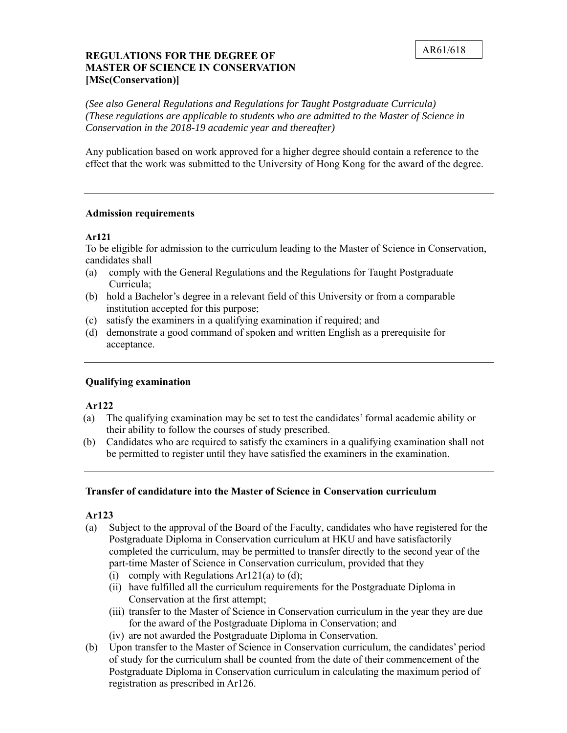# **[MSc(Conservation)]** AR61/618 **REGULATIONS FOR THE DEGREE OF MASTER OF SCIENCE IN CONSERVATION**

*(See also General Regulations and Regulations for Taught Postgraduate Curricula) (These regulations are applicable to students who are admitted to the Master of Science in Conservation in the 2018-19 academic year and thereafter)* 

 effect that the work was submitted to the University of Hong Kong for the award of the degree. Any publication based on work approved for a higher degree should contain a reference to the

## **Admission requirements**

#### **Ar121**

 To be eligible for admission to the curriculum leading to the Master of Science in Conservation, candidates shall

- (a) comply with the General Regulations and the Regulations for Taught Postgraduate Curricula;
- (b) hold a Bachelor's degree in a relevant field of this University or from a comparable institution accepted for this purpose;
- (c) satisfy the examiners in a qualifying examination if required; and
- (d) demonstrate a good command of spoken and written English as a prerequisite for acceptance.

## **Qualifying examination**

#### **Ar122**

- (a) The qualifying examination may be set to test the candidates' formal academic ability or their ability to follow the courses of study prescribed.
- (b) Candidates who are required to satisfy the examiners in a qualifying examination shall not be permitted to register until they have satisfied the examiners in the examination.

## **Transfer of candidature into the Master of Science in Conservation curriculum**

#### **Ar123**

- Subject to the approval of the Board of the Faculty, candidates who have registered for the Postgraduate Diploma in Conservation curriculum at HKU and have satisfactorily completed the curriculum, may be permitted to transfer directly to the second year of the part-time Master of Science in Conservation curriculum, provided that they
	- (i) comply with Regulations  $Ar121(a)$  to (d);
	- (ii) have fulfilled all the curriculum requirements for the Postgraduate Diploma in Conservation at the first attempt;
	- for the award of the Postgraduate Diploma in Conservation; and (iii) transfer to the Master of Science in Conservation curriculum in the year they are due
	- (iv) are not awarded the Postgraduate Diploma in Conservation.
- of study for the curriculum shall be counted from the date of their commencement of the Postgraduate Diploma in Conservation curriculum in calculating the maximum period of (b) Upon transfer to the Master of Science in Conservation curriculum, the candidates' period registration as prescribed in Ar126.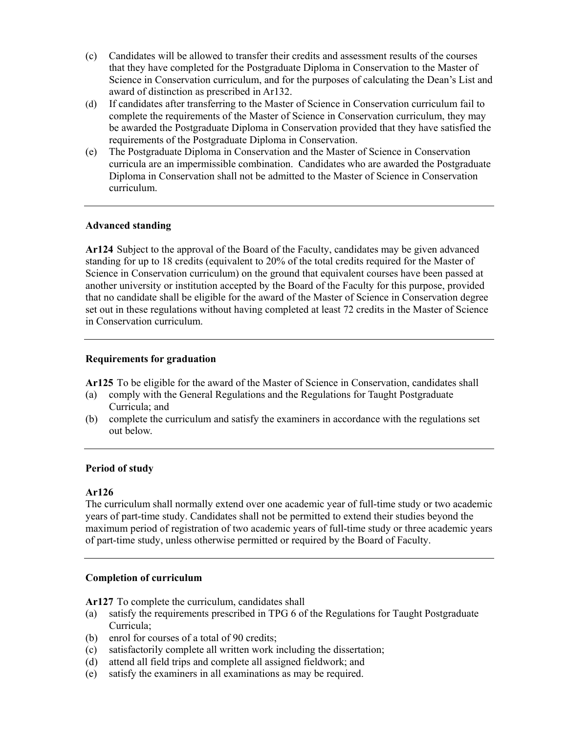- (c) Candidates will be allowed to transfer their credits and assessment results of the courses that they have completed for the Postgraduate Diploma in Conservation to the Master of Science in Conservation curriculum, and for the purposes of calculating the Dean's List and award of distinction as prescribed in Ar132.
- $(d)$  complete the requirements of the Master of Science in Conservation curriculum, they may be awarded the Postgraduate Diploma in Conservation provided that they have satisfied the If candidates after transferring to the Master of Science in Conservation curriculum fail to requirements of the Postgraduate Diploma in Conservation.
- (e) The Postgraduate Diploma in Conservation and the Master of Science in Conservation curricula are an impermissible combination. Candidates who are awarded the Postgraduate Diploma in Conservation shall not be admitted to the Master of Science in Conservation curriculum.

## **Advanced standing**

 **Ar124** Subject to the approval of the Board of the Faculty, candidates may be given advanced another university or institution accepted by the Board of the Faculty for this purpose, provided standing for up to 18 credits (equivalent to 20% of the total credits required for the Master of Science in Conservation curriculum) on the ground that equivalent courses have been passed at that no candidate shall be eligible for the award of the Master of Science in Conservation degree set out in these regulations without having completed at least 72 credits in the Master of Science in Conservation curriculum.

## **Requirements for graduation**

**Ar125** To be eligible for the award of the Master of Science in Conservation, candidates shall

- (a) comply with the General Regulations and the Regulations for Taught Postgraduate Curricula; and
- (b) complete the curriculum and satisfy the examiners in accordance with the regulations set out below.

# **Period of study**

## **Ar126**

 of part-time study, unless otherwise permitted or required by the Board of Faculty. The curriculum shall normally extend over one academic year of full-time study or two academic years of part-time study. Candidates shall not be permitted to extend their studies beyond the maximum period of registration of two academic years of full-time study or three academic years

## **Completion of curriculum**

**Ar127** To complete the curriculum, candidates shall

- (a) satisfy the requirements prescribed in TPG 6 of the Regulations for Taught Postgraduate Curricula;
- (b) enrol for courses of a total of 90 credits;
- (c) satisfactorily complete all written work including the dissertation;
- (d) attend all field trips and complete all assigned fieldwork; and
- (e) satisfy the examiners in all examinations as may be required.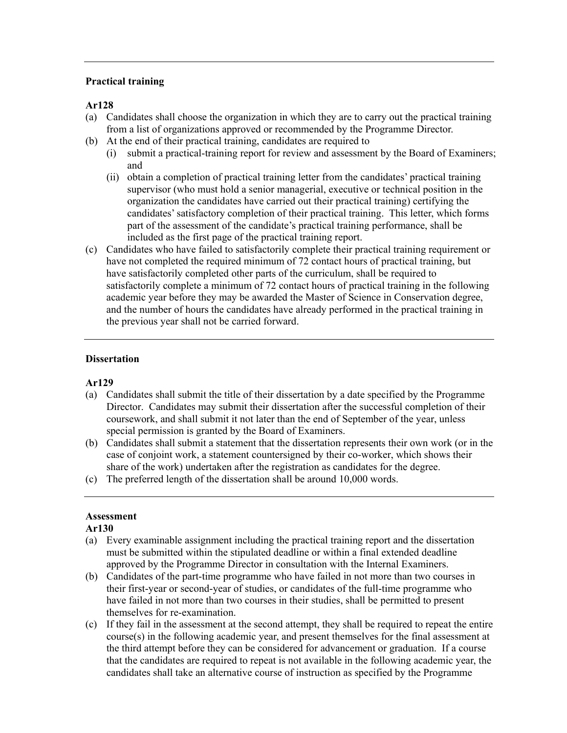# **Practical training**

# **Ar128**

- (a) Candidates shall choose the organization in which they are to carry out the practical training from a list of organizations approved or recommended by the Programme Director.
- (b) At the end of their practical training, candidates are required to
	- (i) submit a practical-training report for review and assessment by the Board of Examiners; and
	- (ii) obtain a completion of practical training letter from the candidates' practical training supervisor (who must hold a senior managerial, executive or technical position in the candidates'satisfactory completion of their practical training. This letter, which forms part of the assessment of the candidate's practical training performance, shall be organization the candidates have carried out their practical training) certifying the included as the first page of the practical training report.
- have not completed the required minimum of 72 contact hours of practical training, but have satisfactorily completed other parts of the curriculum, shall be required to satisfactorily complete a minimum of 72 contact hours of practical training in the following (c) Candidates who have failed to satisfactorily complete their practical training requirement or academic year before they may be awarded the Master of Science in Conservation degree, and the number of hours the candidates have already performed in the practical training in the previous year shall not be carried forward.

## **Dissertation**

## **Ar129**

- (a) Candidates shall submit the title of their dissertation by a date specified by the Programme coursework, and shall submit it not later than the end of September of the year, unless Director. Candidates may submit their dissertation after the successful completion of their special permission is granted by the Board of Examiners.
- (b) Candidates shall submit a statement that the dissertation represents their own work (or in the case of conjoint work, a statement countersigned by their co-worker, which shows their share of the work) undertaken after the registration as candidates for the degree.
- (c) The preferred length of the dissertation shall be around 10,000 words.

# **Assessment**

## **Ar130**

- (a) Every examinable assignment including the practical training report and the dissertation must be submitted within the stipulated deadline or within a final extended deadline approved by the Programme Director in consultation with the Internal Examiners.
- (b) Candidates of the part-time programme who have failed in not more than two courses in have failed in not more than two courses in their studies, shall be permitted to present their first-year or second-year of studies, or candidates of the full-time programme who themselves for re-examination.
- the third attempt before they can be considered for advancement or graduation. If a course that the candidates are required to repeat is not available in the following academic year, the (c) If they fail in the assessment at the second attempt, they shall be required to repeat the entire course(s) in the following academic year, and present themselves for the final assessment at candidates shall take an alternative course of instruction as specified by the Programme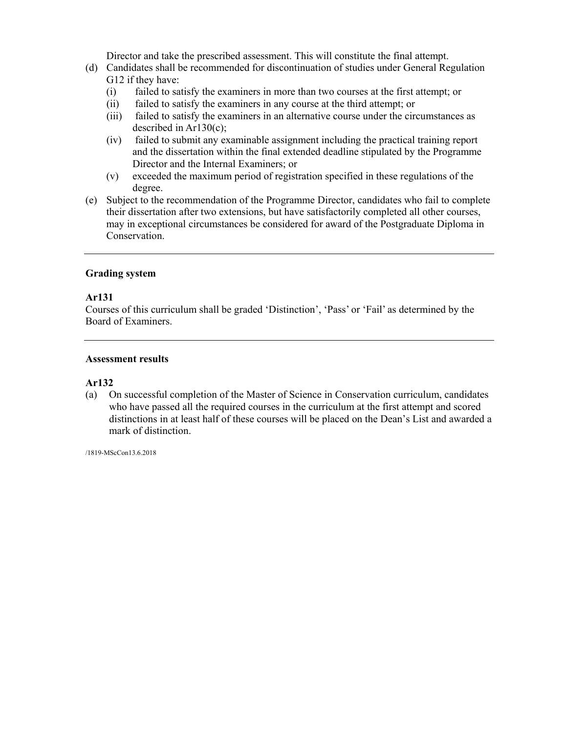Director and take the prescribed assessment. This will constitute the final attempt.

- (d) Candidates shall be recommended for discontinuation of studies under General Regulation G12 if they have:
	- (i) failed to satisfy the examiners in more than two courses at the first attempt; or
	- $(ii)$ failed to satisfy the examiners in any course at the third attempt; or
	- (iii) failed to satisfy the examiners in an alternative course under the circumstances as described in Ar130(c);
	- (iv) failed to submit any examinable assignment including the practical training report and the dissertation within the final extended deadline stipulated by the Programme Director and the Internal Examiners; or
	- (v) exceeded the maximum period of registration specified in these regulations of the degree.
- (e) Subject to the recommendation of the Programme Director, candidates who fail to complete their dissertation after two extensions, but have satisfactorily completed all other courses, may in exceptional circumstances be considered for award of the Postgraduate Diploma in Conservation.

#### **Grading system**

#### **Ar131**

 Courses of this curriculum shall be graded 'Distinction', 'Pass' or 'Fail' as determined by the Board of Examiners.

#### **Assessment results**

#### **Ar132**

 who have passed all the required courses in the curriculum at the first attempt and scored (a) On successful completion of the Master of Science in Conservation curriculum, candidates distinctions in at least half of these courses will be placed on the Dean's List and awarded a mark of distinction.

/1819-MScCon13.6.2018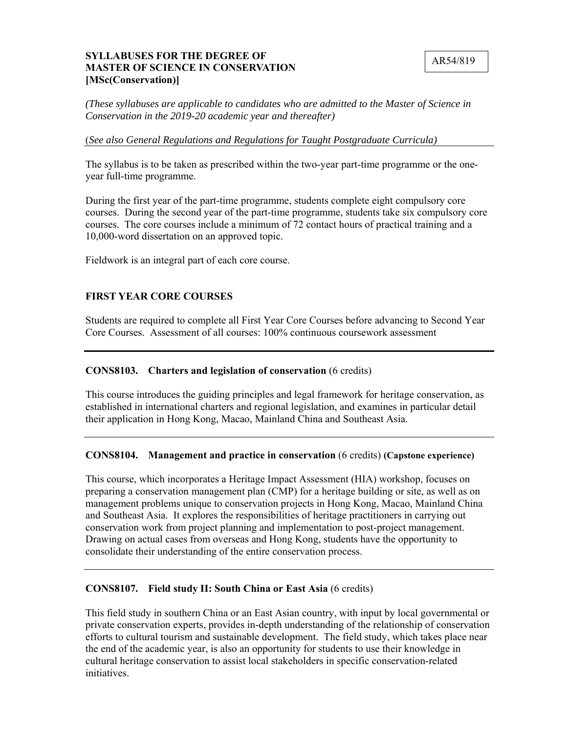# **SYLLABUSES FOR THE DEGREE OF <br>MASTER OF SCIENCE IN CONSERVATION**  AR54/819 **[MSc(Conservation)]**

*(These syllabuses are applicable to candidates who are admitted to the Master of Science in Conservation in the 2019-20 academic year and thereafter)* 

(*See also General Regulations and Regulations for Taught Postgraduate Curricula)* 

The syllabus is to be taken as prescribed within the two-year part-time programme or the oneyear full-time programme.

 During the first year of the part-time programme, students complete eight compulsory core courses. During the second year of the part-time programme, students take six compulsory core courses. The core courses include a minimum of 72 contact hours of practical training and a 10,000-word dissertation on an approved topic.

Fieldwork is an integral part of each core course.

# **FIRST YEAR CORE COURSES**

Students are required to complete all First Year Core Courses before advancing to Second Year Core Courses. Assessment of all courses: 100% continuous coursework assessment

## **CONS8103. Charters and legislation of conservation** (6 credits)

This course introduces the guiding principles and legal framework for heritage conservation, as established in international charters and regional legislation, and examines in particular detail their application in Hong Kong, Macao, Mainland China and Southeast Asia.

## **CONS8104. Management and practice in conservation** (6 credits) **(Capstone experience)**

 conservation work from project planning and implementation to post-project management. Drawing on actual cases from overseas and Hong Kong, students have the opportunity to This course, which incorporates a Heritage Impact Assessment (HIA) workshop, focuses on preparing a conservation management plan (CMP) for a heritage building or site, as well as on management problems unique to conservation projects in Hong Kong, Macao, Mainland China and Southeast Asia. It explores the responsibilities of heritage practitioners in carrying out consolidate their understanding of the entire conservation process.

## **CONS8107. Field study II: South China or East Asia** (6 credits)

 efforts to cultural tourism and sustainable development. The field study, which takes place near This field study in southern China or an East Asian country, with input by local governmental or private conservation experts, provides in-depth understanding of the relationship of conservation the end of the academic year, is also an opportunity for students to use their knowledge in cultural heritage conservation to assist local stakeholders in specific conservation-related initiatives.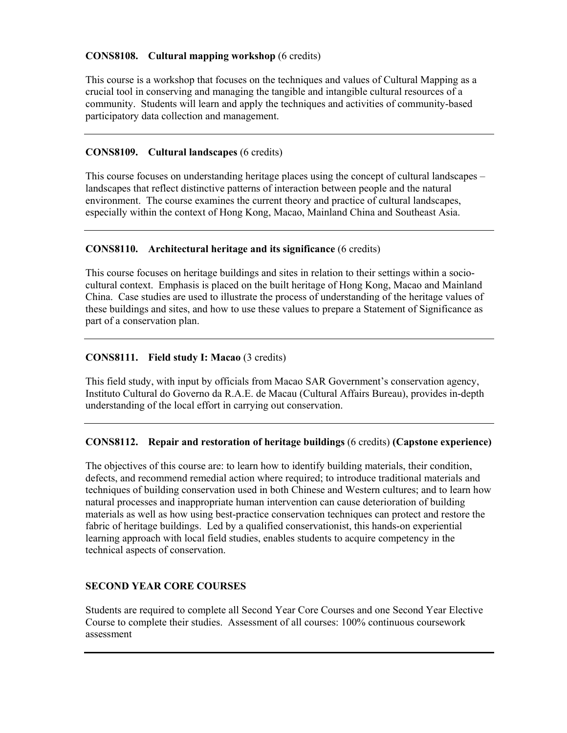# **CONS8108. Cultural mapping workshop** (6 credits)

 crucial tool in conserving and managing the tangible and intangible cultural resources of a community. Students will learn and apply the techniques and activities of community-based participatory data collection and management. This course is a workshop that focuses on the techniques and values of Cultural Mapping as a

# **CONS8109. Cultural landscapes** (6 credits)

This course focuses on understanding heritage places using the concept of cultural landscapes – landscapes that reflect distinctive patterns of interaction between people and the natural environment. The course examines the current theory and practice of cultural landscapes, especially within the context of Hong Kong, Macao, Mainland China and Southeast Asia.

# **CONS8110. Architectural heritage and its significance** (6 credits)

 China. Case studies are used to illustrate the process of understanding of the heritage values of these buildings and sites, and how to use these values to prepare a Statement of Significance as This course focuses on heritage buildings and sites in relation to their settings within a sociocultural context. Emphasis is placed on the built heritage of Hong Kong, Macao and Mainland part of a conservation plan.

# **CONS8111. Field study I: Macao** (3 credits)

This field study, with input by officials from Macao SAR Government's conservation agency, Instituto Cultural do Governo da R.A.E. de Macau (Cultural Affairs Bureau), provides in-depth understanding of the local effort in carrying out conservation.

# **CONS8112. Repair and restoration of heritage buildings** (6 credits) **(Capstone experience)**

 techniques of building conservation used in both Chinese and Western cultures; and to learn how The objectives of this course are: to learn how to identify building materials, their condition, defects, and recommend remedial action where required; to introduce traditional materials and natural processes and inappropriate human intervention can cause deterioration of building materials as well as how using best-practice conservation techniques can protect and restore the fabric of heritage buildings. Led by a qualified conservationist, this hands-on experiential learning approach with local field studies, enables students to acquire competency in the technical aspects of conservation.

# **SECOND YEAR CORE COURSES**

Students are required to complete all Second Year Core Courses and one Second Year Elective Course to complete their studies. Assessment of all courses: 100% continuous coursework assessment